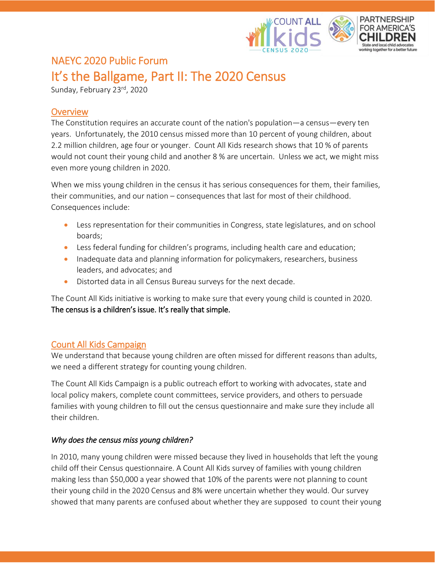

# NAEYC 2020 Public Forum It's the Ballgame, Part II: The 2020 Census

Sunday, February 23<sup>rd</sup>, 2020

## **Overview**

The Constitution requires an accurate count of the nation's population—a census—every ten years. Unfortunately, the 2010 census missed more than 10 percent of young children, about 2.2 million children, age four or younger. Count All Kids research shows that 10 % of parents would not count their young child and another 8 % are uncertain. Unless we act, we might miss even more young children in 2020.

When we miss young children in the census it has serious consequences for them, their families, their communities, and our nation – consequences that last for most of their childhood. Consequences include:

- Less representation for their communities in Congress, state legislatures, and on school boards;
- Less federal funding for children's programs, including health care and education;
- Inadequate data and planning information for policymakers, researchers, business leaders, and advocates; and
- Distorted data in all Census Bureau surveys for the next decade.

The Count All Kids initiative is working to make sure that every young child is counted in 2020. The census is a children's issue. It's really that simple.

### Count All Kids Campaign

We understand that because young children are often missed for different reasons than adults, we need a different strategy for counting young children.

The Count All Kids Campaign is a public outreach effort to working with advocates, state and local policy makers, complete count committees, service providers, and others to persuade families with young children to fill out the census questionnaire and make sure they include all their children.

#### *Why does the census miss young children?*

In 2010, many young children were missed because they lived in households that left the young child off their Census questionnaire. A Count All Kids survey of families with young children making less than \$50,000 a year showed that 10% of the parents were not planning to count their young child in the 2020 Census and 8% were uncertain whether they would. Our survey showed that many parents are confused about whether they are supposed to count their young